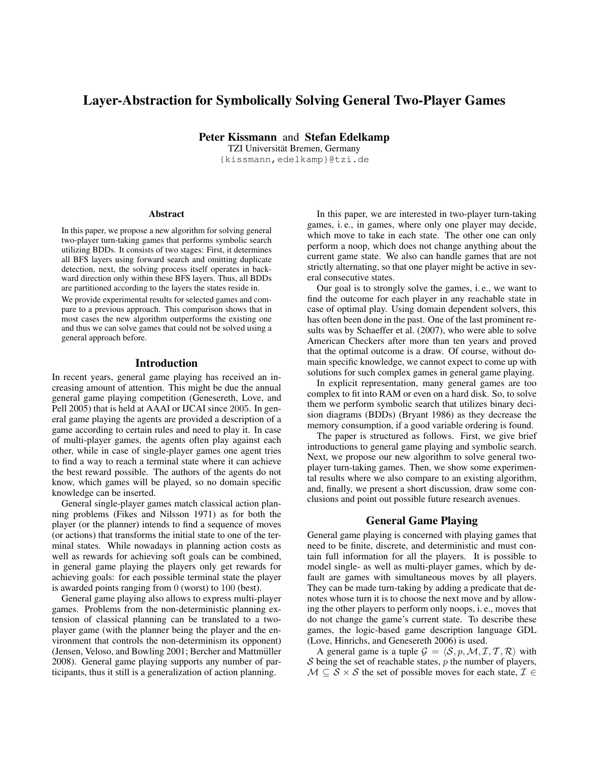# Layer-Abstraction for Symbolically Solving General Two-Player Games

Peter Kissmann and Stefan Edelkamp

TZI Universität Bremen, Germany {kissmann,edelkamp}@tzi.de

#### Abstract

In this paper, we propose a new algorithm for solving general two-player turn-taking games that performs symbolic search utilizing BDDs. It consists of two stages: First, it determines all BFS layers using forward search and omitting duplicate detection, next, the solving process itself operates in backward direction only within these BFS layers. Thus, all BDDs are partitioned according to the layers the states reside in.

We provide experimental results for selected games and compare to a previous approach. This comparison shows that in most cases the new algorithm outperforms the existing one and thus we can solve games that could not be solved using a general approach before.

### Introduction

In recent years, general game playing has received an increasing amount of attention. This might be due the annual general game playing competition (Genesereth, Love, and Pell 2005) that is held at AAAI or IJCAI since 2005. In general game playing the agents are provided a description of a game according to certain rules and need to play it. In case of multi-player games, the agents often play against each other, while in case of single-player games one agent tries to find a way to reach a terminal state where it can achieve the best reward possible. The authors of the agents do not know, which games will be played, so no domain specific knowledge can be inserted.

General single-player games match classical action planning problems (Fikes and Nilsson 1971) as for both the player (or the planner) intends to find a sequence of moves (or actions) that transforms the initial state to one of the terminal states. While nowadays in planning action costs as well as rewards for achieving soft goals can be combined, in general game playing the players only get rewards for achieving goals: for each possible terminal state the player is awarded points ranging from 0 (worst) to 100 (best).

General game playing also allows to express multi-player games. Problems from the non-deterministic planning extension of classical planning can be translated to a twoplayer game (with the planner being the player and the environment that controls the non-determinism its opponent) (Jensen, Veloso, and Bowling 2001; Bercher and Mattmüller 2008). General game playing supports any number of participants, thus it still is a generalization of action planning.

In this paper, we are interested in two-player turn-taking games, i. e., in games, where only one player may decide, which move to take in each state. The other one can only perform a noop, which does not change anything about the current game state. We also can handle games that are not strictly alternating, so that one player might be active in several consecutive states.

Our goal is to strongly solve the games, i. e., we want to find the outcome for each player in any reachable state in case of optimal play. Using domain dependent solvers, this has often been done in the past. One of the last prominent results was by Schaeffer et al. (2007), who were able to solve American Checkers after more than ten years and proved that the optimal outcome is a draw. Of course, without domain specific knowledge, we cannot expect to come up with solutions for such complex games in general game playing.

In explicit representation, many general games are too complex to fit into RAM or even on a hard disk. So, to solve them we perform symbolic search that utilizes binary decision diagrams (BDDs) (Bryant 1986) as they decrease the memory consumption, if a good variable ordering is found.

The paper is structured as follows. First, we give brief introductions to general game playing and symbolic search. Next, we propose our new algorithm to solve general twoplayer turn-taking games. Then, we show some experimental results where we also compare to an existing algorithm, and, finally, we present a short discussion, draw some conclusions and point out possible future research avenues.

# General Game Playing

General game playing is concerned with playing games that need to be finite, discrete, and deterministic and must contain full information for all the players. It is possible to model single- as well as multi-player games, which by default are games with simultaneous moves by all players. They can be made turn-taking by adding a predicate that denotes whose turn it is to choose the next move and by allowing the other players to perform only noops, i. e., moves that do not change the game's current state. To describe these games, the logic-based game description language GDL (Love, Hinrichs, and Genesereth 2006) is used.

A general game is a tuple  $G = \langle S, p, M, I, T, R \rangle$  with  $S$  being the set of reachable states,  $p$  the number of players,  $M \subseteq S \times S$  the set of possible moves for each state,  $\mathcal{I} \in$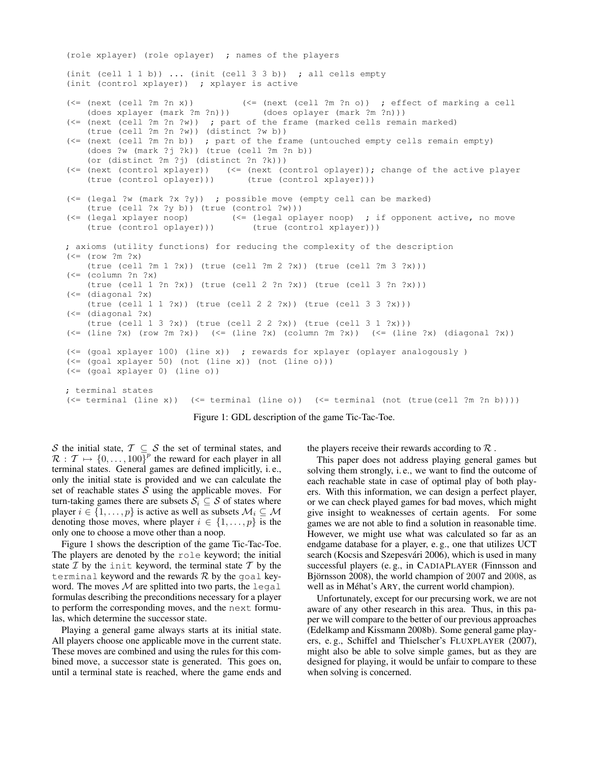```
(role xplayer) (role oplayer) ; names of the players
(init (cell 1 \t1 b)) ... (init (cell 3 \t3 b)) ; all cells empty
(init (control xplayer)) ; xplayer is active
(\leq) (\leq (next (cell ?m ?n x)) (\leq) (\leq (next (cell ?m ?n o)) ; effect of marking a cell
    (does xplayer (mark ?m ?n))) (does oplayer (mark ?m ?n)))
(<= (next (cell ?m ?n ?w)) ; part of the frame (marked cells remain marked)
    (true (cell ?m ?n ?w)) (distinct ?w b))
(<= (next (cell ?m ?n b)) ; part of the frame (untouched empty cells remain empty)
    (does ?w (mark ?j ?k)) (true (cell ?m ?n b))
    (or (distinct ?m ?j) (distinct ?n ?k)))
(<= (next (control xplayer)) (<= (next (control oplayer)); change of the active player
    (true (control oplayer))) (true (control xplayer)))
(<= (legal ?w (mark ?x ?y)) ; possible move (empty cell can be marked)
    (true (cell ?x ?y b)) (true (control ?w)))
(<= (legal xplayer noop) (<= (legal oplayer noop) ; if opponent active, no move
    (true (control oplayer))) (true (control xplayer)))
; axioms (utility functions) for reducing the complexity of the description
(\leq = \text{row } ?m ?x)(true (cell ?m 1 ?x)) (true (cell ?m 2 ?x)) (true (cell ?m 3 ?x)))
(<= (column ?n ?x)
    (true (cell 1 ?n ?x)) (true (cell 2 ?n ?x)) (true (cell 3 ?n ?x)))(<= (diagonal ?x)
    (true (cell 1 1 ?x)) (true (cell 2 2 ?x)) (true (cell 3 3 ?x)))(<= (diagonal ?x)
    (true (cell 1 3 ?x)) (true (cell 2 2 ?x)) (true (cell 3 1 ?x)))
(\leq) (line ?x) (row ?m ?x)) (\leq) (line ?x) (column ?m ?x)) (\leq) (line ?x) (diagonal ?x))
(<= (goal xplayer 100) (line x)) ; rewards for xplayer (oplayer analogously )
(<= (goal xplayer 50) (not (line x)) (not (line o)))
(<= (goal xplayer 0) (line o))
; terminal states
(\leq) terminal (line x)) (\leq) terminal (line o)) (\leq) terminal (not (true(cell ?m ?n b))))
```

| Figure 1: GDL description of the game Tic-Tac-Toe. |  |  |  |  |  |
|----------------------------------------------------|--|--|--|--|--|
|                                                    |  |  |  |  |  |

S the initial state,  $T \subseteq S$  the set of terminal states, and  $\mathcal{R}: \mathcal{T} \mapsto \{0, \ldots, 100\}^p$  the reward for each player in all terminal states. General games are defined implicitly, i. e., only the initial state is provided and we can calculate the set of reachable states  $S$  using the applicable moves. For turn-taking games there are subsets  $S_i \subseteq S$  of states where player  $i \in \{1, \ldots, p\}$  is active as well as subsets  $\mathcal{M}_i \subseteq \mathcal{M}$ denoting those moves, where player  $i \in \{1, \ldots, p\}$  is the only one to choose a move other than a noop.

Figure 1 shows the description of the game Tic-Tac-Toe. The players are denoted by the role keyword; the initial state  $\mathcal I$  by the init keyword, the terminal state  $\mathcal T$  by the terminal keyword and the rewards  $R$  by the goal keyword. The moves  $M$  are splitted into two parts, the legal formulas describing the preconditions necessary for a player to perform the corresponding moves, and the next formulas, which determine the successor state.

Playing a general game always starts at its initial state. All players choose one applicable move in the current state. These moves are combined and using the rules for this combined move, a successor state is generated. This goes on, until a terminal state is reached, where the game ends and

the players receive their rewards according to  $\mathcal R$ .

This paper does not address playing general games but solving them strongly, i. e., we want to find the outcome of each reachable state in case of optimal play of both players. With this information, we can design a perfect player, or we can check played games for bad moves, which might give insight to weaknesses of certain agents. For some games we are not able to find a solution in reasonable time. However, we might use what was calculated so far as an endgame database for a player, e. g., one that utilizes UCT search (Kocsis and Szepesvári 2006), which is used in many successful players (e. g., in CADIAPLAYER (Finnsson and Björnsson 2008), the world champion of 2007 and 2008, as well as in Méhat's ARY, the current world champion).

Unfortunately, except for our precursing work, we are not aware of any other research in this area. Thus, in this paper we will compare to the better of our previous approaches (Edelkamp and Kissmann 2008b). Some general game players, e. g., Schiffel and Thielscher's FLUXPLAYER (2007), might also be able to solve simple games, but as they are designed for playing, it would be unfair to compare to these when solving is concerned.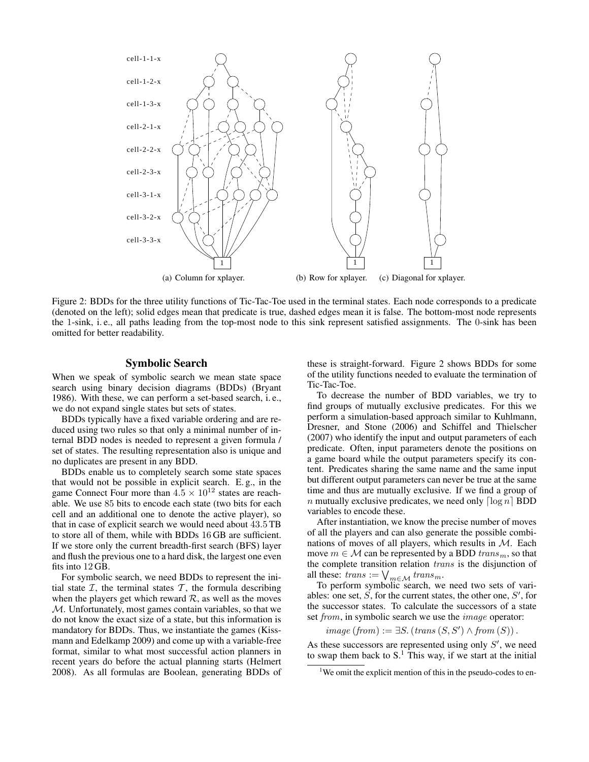

Figure 2: BDDs for the three utility functions of Tic-Tac-Toe used in the terminal states. Each node corresponds to a predicate (denoted on the left); solid edges mean that predicate is true, dashed edges mean it is false. The bottom-most node represents the 1-sink, i. e., all paths leading from the top-most node to this sink represent satisfied assignments. The 0-sink has been omitted for better readability.

## Symbolic Search

When we speak of symbolic search we mean state space search using binary decision diagrams (BDDs) (Bryant 1986). With these, we can perform a set-based search, i. e., we do not expand single states but sets of states.

BDDs typically have a fixed variable ordering and are reduced using two rules so that only a minimal number of internal BDD nodes is needed to represent a given formula / set of states. The resulting representation also is unique and no duplicates are present in any BDD.

BDDs enable us to completely search some state spaces that would not be possible in explicit search. E. g., in the game Connect Four more than  $4.5 \times 10^{12}$  states are reachable. We use 85 bits to encode each state (two bits for each cell and an additional one to denote the active player), so that in case of explicit search we would need about 43.5 TB to store all of them, while with BDDs 16 GB are sufficient. If we store only the current breadth-first search (BFS) layer and flush the previous one to a hard disk, the largest one even fits into 12 GB.

For symbolic search, we need BDDs to represent the initial state  $I$ , the terminal states  $T$ , the formula describing when the players get which reward  $R$ , as well as the moves M. Unfortunately, most games contain variables, so that we do not know the exact size of a state, but this information is mandatory for BDDs. Thus, we instantiate the games (Kissmann and Edelkamp 2009) and come up with a variable-free format, similar to what most successful action planners in recent years do before the actual planning starts (Helmert 2008). As all formulas are Boolean, generating BDDs of

these is straight-forward. Figure 2 shows BDDs for some of the utility functions needed to evaluate the termination of Tic-Tac-Toe.

To decrease the number of BDD variables, we try to find groups of mutually exclusive predicates. For this we perform a simulation-based approach similar to Kuhlmann, Dresner, and Stone (2006) and Schiffel and Thielscher (2007) who identify the input and output parameters of each predicate. Often, input parameters denote the positions on a game board while the output parameters specify its content. Predicates sharing the same name and the same input but different output parameters can never be true at the same time and thus are mutually exclusive. If we find a group of n mutually exclusive predicates, we need only  $\lceil \log n \rceil$  BDD variables to encode these.

After instantiation, we know the precise number of moves of all the players and can also generate the possible combinations of moves of all players, which results in  $M$ . Each move  $m \in \mathcal{M}$  can be represented by a BDD  $trans<sub>m</sub>$ , so that the complete transition relation trans is the disjunction of all these:  $trans := \bigvee_{m \in \mathcal{M}} trans_m$ .

To perform symbolic search, we need two sets of variables: one set,  $S$ , for the current states, the other one,  $S'$ , for the successor states. To calculate the successors of a state set from, in symbolic search we use the *image* operator:

 $image (from) := \exists S. (trans (S, S') \land from (S)).$ 

As these successors are represented using only  $S'$ , we need to swap them back to  $S<sup>1</sup>$ . This way, if we start at the initial

<sup>&</sup>lt;sup>1</sup>We omit the explicit mention of this in the pseudo-codes to en-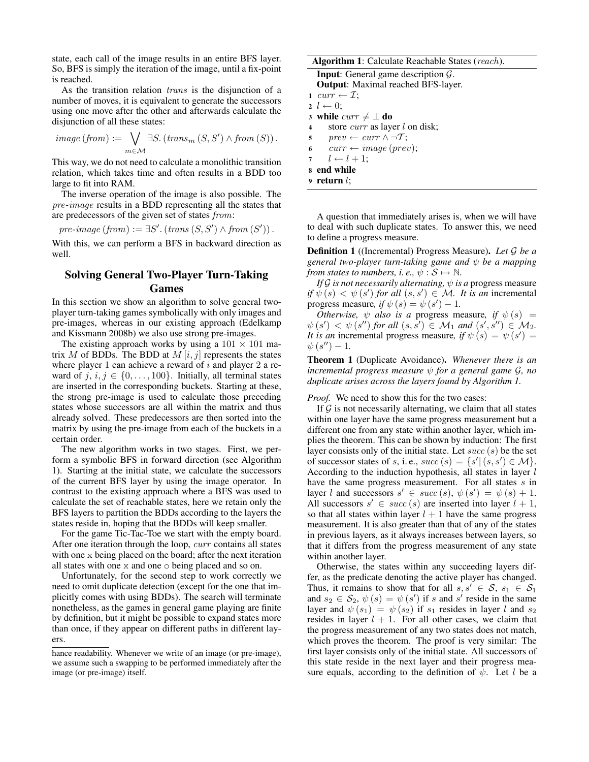state, each call of the image results in an entire BFS layer. So, BFS is simply the iteration of the image, until a fix-point is reached.

As the transition relation trans is the disjunction of a number of moves, it is equivalent to generate the successors using one move after the other and afterwards calculate the disjunction of all these states:

$$
image (from) := \bigvee_{m \in \mathcal{M}} \exists S. (trans_m (S, S') \wedge from (S)).
$$

This way, we do not need to calculate a monolithic transition relation, which takes time and often results in a BDD too large to fit into RAM.

The inverse operation of the image is also possible. The pre-image results in a BDD representing all the states that are predecessors of the given set of states from:

 $pre\text{-}image \ (from) := \exists S'. \ (trans \ (S, S') \land from \ (S'))$ .

With this, we can perform a BFS in backward direction as well.

# Solving General Two-Player Turn-Taking Games

In this section we show an algorithm to solve general twoplayer turn-taking games symbolically with only images and pre-images, whereas in our existing approach (Edelkamp and Kissmann 2008b) we also use strong pre-images.

The existing approach works by using a  $101 \times 101$  matrix M of BDDs. The BDD at  $M[i, j]$  represents the states where player 1 can achieve a reward of  $i$  and player 2 a reward of j,  $i, j \in \{0, \ldots, 100\}$ . Initially, all terminal states are inserted in the corresponding buckets. Starting at these, the strong pre-image is used to calculate those preceding states whose successors are all within the matrix and thus already solved. These predecessors are then sorted into the matrix by using the pre-image from each of the buckets in a certain order.

The new algorithm works in two stages. First, we perform a symbolic BFS in forward direction (see Algorithm 1). Starting at the initial state, we calculate the successors of the current BFS layer by using the image operator. In contrast to the existing approach where a BFS was used to calculate the set of reachable states, here we retain only the BFS layers to partition the BDDs according to the layers the states reside in, hoping that the BDDs will keep smaller.

For the game Tic-Tac-Toe we start with the empty board. After one iteration through the loop, curr contains all states with one x being placed on the board; after the next iteration all states with one x and one o being placed and so on.

Unfortunately, for the second step to work correctly we need to omit duplicate detection (except for the one that implicitly comes with using BDDs). The search will terminate nonetheless, as the games in general game playing are finite by definition, but it might be possible to expand states more than once, if they appear on different paths in different layers.

| <b>Algorithm 1:</b> Calculate Reachable States (reach). |
|---------------------------------------------------------|
| <b>Input:</b> General game description $\mathcal{G}$ .  |
| <b>Output:</b> Maximal reached BFS-layer.               |
| 1 curr $\leftarrow \mathcal{I}$ ;                       |
| $2 l \leftarrow 0$ ;                                    |
| 3 while $curr \neq \perp$ do                            |
| store <i>curr</i> as layer <i>l</i> on disk;<br>4       |
| 5 $prev \leftarrow curr \wedge \neg T;$                 |
| 6 curr $\leftarrow image (prev);$                       |
| $l \leftarrow l + 1$ ;<br>7                             |
| 8 end while                                             |
| 9 return $l$ ;                                          |

A question that immediately arises is, when we will have to deal with such duplicate states. To answer this, we need to define a progress measure.

Definition 1 ((Incremental) Progress Measure). *Let* G *be a general two-player turn-taking game and* ψ *be a mapping from states to numbers, i.e.,*  $\psi : \mathcal{S} \mapsto \mathbb{N}$ *.* 

*If* G *is not necessarily alternating,*  $\psi$  *is a* progress measure *if*  $\psi(s) < \psi(s')$  *for all*  $(s, s') \in M$ *. It is an incremental* progress measure, if  $\psi(s) = \psi(s') - 1$ .

*Otherwise,*  $\psi$  *also is a* progress measure, *if*  $\psi$  (*s*) =  $\psi(s') < \psi(s'')$  for all  $(s, s') \in \mathcal{M}_1$  and  $(s', s'') \in \mathcal{M}_2$ . *It is an* incremental progress measure, if  $\psi(s) = \psi(s')$  $\psi(s'') - 1.$ 

Theorem 1 (Duplicate Avoidance). *Whenever there is an incremental progress measure* ψ *for a general game* G*, no duplicate arises across the layers found by Algorithm 1.*

*Proof.* We need to show this for the two cases:

If  $G$  is not necessarily alternating, we claim that all states within one layer have the same progress measurement but a different one from any state within another layer, which implies the theorem. This can be shown by induction: The first layer consists only of the initial state. Let  $succ(s)$  be the set of successor states of s, i.e.,  $succ(s) = \{s' | (s, s') \in \mathcal{M}\}.$ According to the induction hypothesis, all states in layer l have the same progress measurement. For all states s in layer l and successors  $s' \in succ(s), \psi(s') = \psi(s) + 1$ . All successors  $s' \in succ(s)$  are inserted into layer  $l + 1$ , so that all states within layer  $l + 1$  have the same progress measurement. It is also greater than that of any of the states in previous layers, as it always increases between layers, so that it differs from the progress measurement of any state within another layer.

Otherwise, the states within any succeeding layers differ, as the predicate denoting the active player has changed. Thus, it remains to show that for all  $s, s' \in S$ ,  $s_1 \in S_1$ and  $s_2 \in S_2$ ,  $\psi(s) = \psi(s')$  if s and s' reside in the same layer and  $\psi(s_1) = \psi(s_2)$  if  $s_1$  resides in layer l and  $s_2$ resides in layer  $l + 1$ . For all other cases, we claim that the progress measurement of any two states does not match, which proves the theorem. The proof is very similar: The first layer consists only of the initial state. All successors of this state reside in the next layer and their progress measure equals, according to the definition of  $\psi$ . Let l be a

hance readability. Whenever we write of an image (or pre-image), we assume such a swapping to be performed immediately after the image (or pre-image) itself.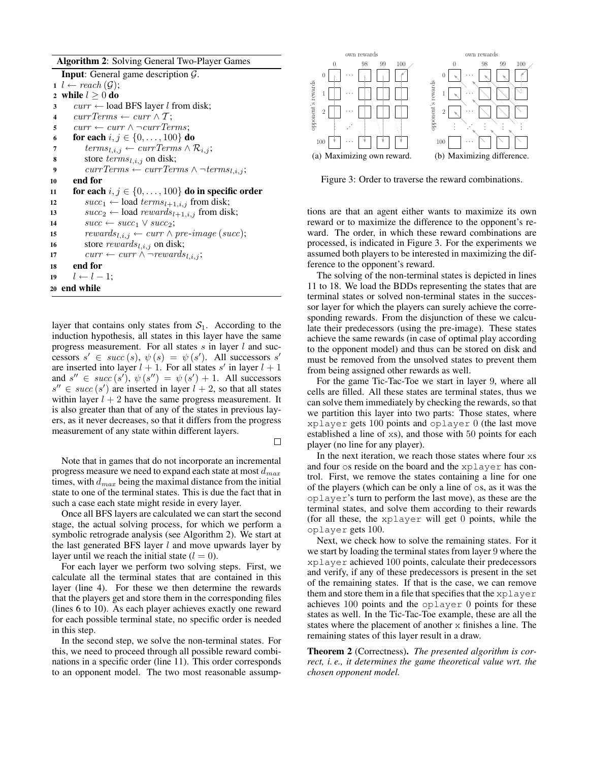#### Algorithm 2: Solving General Two-Player Games

**Input:** General game description  $\mathcal{G}$ .  $1 \leftarrow reach(\mathcal{G});$ 2 while  $l \geq 0$  do 3 curr  $\leftarrow$  load BFS layer l from disk; 4 currTerms  $\leftarrow$  curr  $\wedge$  T; 5 curr  $\leftarrow$  curr  $\wedge \neg \text{currTerms}$ ; 6 for each  $i, j \in \{0, ..., 100\}$  do 7  $terms_{l,i,j} \leftarrow currTerms \wedge \mathcal{R}_{i,j};$ 8 store  $terms_{l,i,j}$  on disk; 9 currTerms  $\leftarrow \text{currTerms} \land \neg \text{terms}_{l,i,j};$ 10 end for 11 for each  $i, j \in \{0, \ldots, 100\}$  do in specific order 12  $succ_1 \leftarrow$  load  $terms_{l+1,i,j}$  from disk; 13  $succ_2 \leftarrow load \, rewards_{l+1,i,j} \, from \, disk;$ 14  $succ \leftarrow succ_1 \vee succ_2;$ 15 rewards $l_{i,i,j} \leftarrow curr \wedge pre-image (succ);$ 16 store  $rewards_{l,i,j}$  on disk; 17 curr ← curr  $\wedge \neg \text{reward}_{l,i,j};$ 18 end for 19  $l \leftarrow l - 1;$ 20 end while

layer that contains only states from  $S_1$ . According to the induction hypothesis, all states in this layer have the same progress measurement. For all states  $s$  in layer  $l$  and successors  $s' \in succ(s), \psi(s) = \psi(s')$ . All successors s' are inserted into layer  $l + 1$ . For all states s' in layer  $l + 1$ and  $s'' \in succ(s')$ ,  $\psi(s'') = \psi(s') + 1$ . All successors  $s'' \in succ(s')$  are inserted in layer  $l + 2$ , so that all states within layer  $l + 2$  have the same progress measurement. It is also greater than that of any of the states in previous layers, as it never decreases, so that it differs from the progress measurement of any state within different layers.

 $\Box$ 

Note that in games that do not incorporate an incremental progress measure we need to expand each state at most  $d_{max}$ times, with  $d_{max}$  being the maximal distance from the initial state to one of the terminal states. This is due the fact that in such a case each state might reside in every layer.

Once all BFS layers are calculated we can start the second stage, the actual solving process, for which we perform a symbolic retrograde analysis (see Algorithm 2). We start at the last generated BFS layer  $l$  and move upwards layer by layer until we reach the initial state  $(l = 0)$ .

For each layer we perform two solving steps. First, we calculate all the terminal states that are contained in this layer (line 4). For these we then determine the rewards that the players get and store them in the corresponding files (lines 6 to 10). As each player achieves exactly one reward for each possible terminal state, no specific order is needed in this step.

In the second step, we solve the non-terminal states. For this, we need to proceed through all possible reward combinations in a specific order (line 11). This order corresponds to an opponent model. The two most reasonable assump-



Figure 3: Order to traverse the reward combinations.

tions are that an agent either wants to maximize its own reward or to maximize the difference to the opponent's reward. The order, in which these reward combinations are processed, is indicated in Figure 3. For the experiments we assumed both players to be interested in maximizing the difference to the opponent's reward.

The solving of the non-terminal states is depicted in lines 11 to 18. We load the BDDs representing the states that are terminal states or solved non-terminal states in the successor layer for which the players can surely achieve the corresponding rewards. From the disjunction of these we calculate their predecessors (using the pre-image). These states achieve the same rewards (in case of optimal play according to the opponent model) and thus can be stored on disk and must be removed from the unsolved states to prevent them from being assigned other rewards as well.

For the game Tic-Tac-Toe we start in layer 9, where all cells are filled. All these states are terminal states, thus we can solve them immediately by checking the rewards, so that we partition this layer into two parts: Those states, where xplayer gets 100 points and oplayer 0 (the last move established a line of xs), and those with 50 points for each player (no line for any player).

In the next iteration, we reach those states where four xs and four os reside on the board and the xplayer has control. First, we remove the states containing a line for one of the players (which can be only a line of os, as it was the oplayer's turn to perform the last move), as these are the terminal states, and solve them according to their rewards (for all these, the xplayer will get 0 points, while the oplayer gets 100.

Next, we check how to solve the remaining states. For it we start by loading the terminal states from layer 9 where the xplayer achieved 100 points, calculate their predecessors and verify, if any of these predecessors is present in the set of the remaining states. If that is the case, we can remove them and store them in a file that specifies that the xplayer achieves 100 points and the oplayer 0 points for these states as well. In the Tic-Tac-Toe example, these are all the states where the placement of another x finishes a line. The remaining states of this layer result in a draw.

Theorem 2 (Correctness). *The presented algorithm is correct, i. e., it determines the game theoretical value wrt. the chosen opponent model.*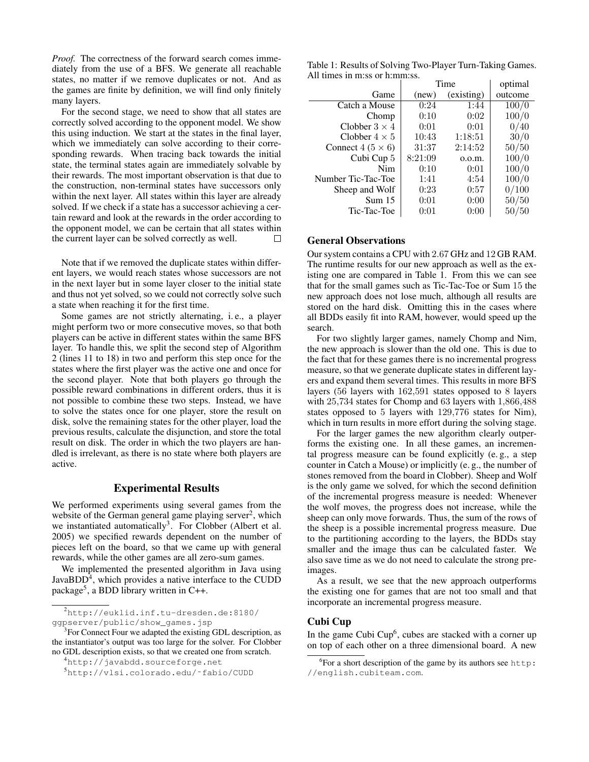*Proof.* The correctness of the forward search comes immediately from the use of a BFS. We generate all reachable states, no matter if we remove duplicates or not. And as the games are finite by definition, we will find only finitely many layers.

For the second stage, we need to show that all states are correctly solved according to the opponent model. We show this using induction. We start at the states in the final layer, which we immediately can solve according to their corresponding rewards. When tracing back towards the initial state, the terminal states again are immediately solvable by their rewards. The most important observation is that due to the construction, non-terminal states have successors only within the next layer. All states within this layer are already solved. If we check if a state has a successor achieving a certain reward and look at the rewards in the order according to the opponent model, we can be certain that all states within the current layer can be solved correctly as well.  $\Box$ 

Note that if we removed the duplicate states within different layers, we would reach states whose successors are not in the next layer but in some layer closer to the initial state and thus not yet solved, so we could not correctly solve such a state when reaching it for the first time.

Some games are not strictly alternating, i. e., a player might perform two or more consecutive moves, so that both players can be active in different states within the same BFS layer. To handle this, we split the second step of Algorithm 2 (lines 11 to 18) in two and perform this step once for the states where the first player was the active one and once for the second player. Note that both players go through the possible reward combinations in different orders, thus it is not possible to combine these two steps. Instead, we have to solve the states once for one player, store the result on disk, solve the remaining states for the other player, load the previous results, calculate the disjunction, and store the total result on disk. The order in which the two players are handled is irrelevant, as there is no state where both players are active.

# Experimental Results

We performed experiments using several games from the website of the German general game playing server<sup>2</sup>, which we instantiated automatically<sup>3</sup>. For Clobber (Albert et al. 2005) we specified rewards dependent on the number of pieces left on the board, so that we came up with general rewards, while the other games are all zero-sum games.

We implemented the presented algorithm in Java using Java $BDD<sup>4</sup>$ , which provides a native interface to the CUDD package<sup>5</sup>, a BDD library written in C++.

<sup>2</sup>http://euklid.inf.tu-dresden.de:8180/ ggpserver/public/show\_games.jsp

<sup>3</sup>For Connect Four we adapted the existing GDL description, as the instantiator's output was too large for the solver. For Clobber no GDL description exists, so that we created one from scratch.

Table 1: Results of Solving Two-Player Turn-Taking Games. All times in m:ss or h:mm:ss.

|                         | Time    | optimal    |         |
|-------------------------|---------|------------|---------|
| Game                    | (new)   | (existing) | outcome |
| Catch a Mouse           | 0:24    | 1:44       | 100/0   |
| Chomp                   | 0:10    | 0:02       | 100/0   |
| Clobber $3 \times 4$    | 0:01    | 0:01       | 0/40    |
| Clobber $4 \times 5$    | 10:43   | 1:18:51    | 30/0    |
| Connect $4(5 \times 6)$ | 31:37   | 2:14:52    | 50/50   |
| Cubi Cup 5              | 8:21:09 | 0.0.m.     | 100/0   |
| Nim                     | 0:10    | 0:01       | 100/0   |
| Number Tic-Tac-Toe      | 1:41    | 4:54       | 100/0   |
| Sheep and Wolf          | 0:23    | 0:57       | 0/100   |
| Sum 15                  | 0:01    | 0:00       | 50/50   |
| Tic-Tac-Toe             | 0:01    | 0:00       | 50/50   |

### General Observations

Our system contains a CPU with 2.67 GHz and 12 GB RAM. The runtime results for our new approach as well as the existing one are compared in Table 1. From this we can see that for the small games such as Tic-Tac-Toe or Sum 15 the new approach does not lose much, although all results are stored on the hard disk. Omitting this in the cases where all BDDs easily fit into RAM, however, would speed up the search.

For two slightly larger games, namely Chomp and Nim, the new approach is slower than the old one. This is due to the fact that for these games there is no incremental progress measure, so that we generate duplicate states in different layers and expand them several times. This results in more BFS layers (56 layers with 162,591 states opposed to 8 layers with 25,734 states for Chomp and 63 layers with 1,866,488 states opposed to 5 layers with 129,776 states for Nim), which in turn results in more effort during the solving stage.

For the larger games the new algorithm clearly outperforms the existing one. In all these games, an incremental progress measure can be found explicitly (e. g., a step counter in Catch a Mouse) or implicitly (e. g., the number of stones removed from the board in Clobber). Sheep and Wolf is the only game we solved, for which the second definition of the incremental progress measure is needed: Whenever the wolf moves, the progress does not increase, while the sheep can only move forwards. Thus, the sum of the rows of the sheep is a possible incremental progress measure. Due to the partitioning according to the layers, the BDDs stay smaller and the image thus can be calculated faster. We also save time as we do not need to calculate the strong preimages.

As a result, we see that the new approach outperforms the existing one for games that are not too small and that incorporate an incremental progress measure.

# Cubi Cup

In the game Cubi  $Cup<sup>6</sup>$ , cubes are stacked with a corner up on top of each other on a three dimensional board. A new

<sup>4</sup>http://javabdd.sourceforge.net

<sup>5</sup>http://vlsi.colorado.edu/˜fabio/CUDD

 $6$ For a short description of the game by its authors see http: //english.cubiteam.com.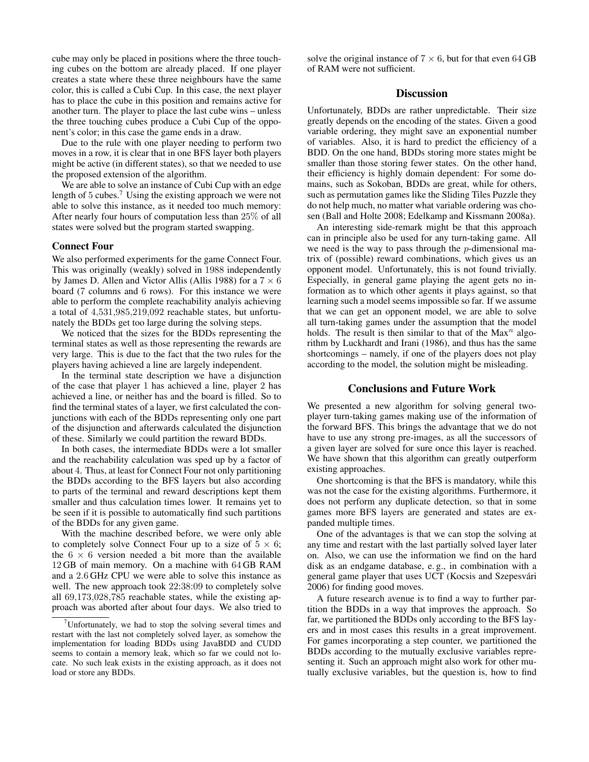cube may only be placed in positions where the three touching cubes on the bottom are already placed. If one player creates a state where these three neighbours have the same color, this is called a Cubi Cup. In this case, the next player has to place the cube in this position and remains active for another turn. The player to place the last cube wins – unless the three touching cubes produce a Cubi Cup of the opponent's color; in this case the game ends in a draw.

Due to the rule with one player needing to perform two moves in a row, it is clear that in one BFS layer both players might be active (in different states), so that we needed to use the proposed extension of the algorithm.

We are able to solve an instance of Cubi Cup with an edge length of 5 cubes.<sup>7</sup> Using the existing approach we were not able to solve this instance, as it needed too much memory: After nearly four hours of computation less than 25% of all states were solved but the program started swapping.

#### Connect Four

We also performed experiments for the game Connect Four. This was originally (weakly) solved in 1988 independently by James D. Allen and Victor Allis (Allis 1988) for a  $7 \times 6$ board (7 columns and 6 rows). For this instance we were able to perform the complete reachability analyis achieving a total of 4,531,985,219,092 reachable states, but unfortunately the BDDs get too large during the solving steps.

We noticed that the sizes for the BDDs representing the terminal states as well as those representing the rewards are very large. This is due to the fact that the two rules for the players having achieved a line are largely independent.

In the terminal state description we have a disjunction of the case that player 1 has achieved a line, player 2 has achieved a line, or neither has and the board is filled. So to find the terminal states of a layer, we first calculated the conjunctions with each of the BDDs representing only one part of the disjunction and afterwards calculated the disjunction of these. Similarly we could partition the reward BDDs.

In both cases, the intermediate BDDs were a lot smaller and the reachability calculation was sped up by a factor of about 4. Thus, at least for Connect Four not only partitioning the BDDs according to the BFS layers but also according to parts of the terminal and reward descriptions kept them smaller and thus calculation times lower. It remains yet to be seen if it is possible to automatically find such partitions of the BDDs for any given game.

With the machine described before, we were only able to completely solve Connect Four up to a size of  $5 \times 6$ ; the  $6 \times 6$  version needed a bit more than the available 12 GB of main memory. On a machine with 64 GB RAM and a 2.6 GHz CPU we were able to solve this instance as well. The new approach took 22:38:09 to completely solve all 69,173,028,785 reachable states, while the existing approach was aborted after about four days. We also tried to

solve the original instance of  $7 \times 6$ , but for that even 64 GB of RAM were not sufficient.

### **Discussion**

Unfortunately, BDDs are rather unpredictable. Their size greatly depends on the encoding of the states. Given a good variable ordering, they might save an exponential number of variables. Also, it is hard to predict the efficiency of a BDD. On the one hand, BDDs storing more states might be smaller than those storing fewer states. On the other hand, their efficiency is highly domain dependent: For some domains, such as Sokoban, BDDs are great, while for others, such as permutation games like the Sliding Tiles Puzzle they do not help much, no matter what variable ordering was chosen (Ball and Holte 2008; Edelkamp and Kissmann 2008a).

An interesting side-remark might be that this approach can in principle also be used for any turn-taking game. All we need is the way to pass through the  $p$ -dimensional matrix of (possible) reward combinations, which gives us an opponent model. Unfortunately, this is not found trivially. Especially, in general game playing the agent gets no information as to which other agents it plays against, so that learning such a model seems impossible so far. If we assume that we can get an opponent model, we are able to solve all turn-taking games under the assumption that the model holds. The result is then similar to that of the  $Max<sup>n</sup>$  algorithm by Luckhardt and Irani (1986), and thus has the same shortcomings – namely, if one of the players does not play according to the model, the solution might be misleading.

### Conclusions and Future Work

We presented a new algorithm for solving general twoplayer turn-taking games making use of the information of the forward BFS. This brings the advantage that we do not have to use any strong pre-images, as all the successors of a given layer are solved for sure once this layer is reached. We have shown that this algorithm can greatly outperform existing approaches.

One shortcoming is that the BFS is mandatory, while this was not the case for the existing algorithms. Furthermore, it does not perform any duplicate detection, so that in some games more BFS layers are generated and states are expanded multiple times.

One of the advantages is that we can stop the solving at any time and restart with the last partially solved layer later on. Also, we can use the information we find on the hard disk as an endgame database, e. g., in combination with a general game player that uses UCT (Kocsis and Szepesvári 2006) for finding good moves.

A future research avenue is to find a way to further partition the BDDs in a way that improves the approach. So far, we partitioned the BDDs only according to the BFS layers and in most cases this results in a great improvement. For games incorporating a step counter, we partitioned the BDDs according to the mutually exclusive variables representing it. Such an approach might also work for other mutually exclusive variables, but the question is, how to find

Unfortunately, we had to stop the solving several times and restart with the last not completely solved layer, as somehow the implementation for loading BDDs using JavaBDD and CUDD seems to contain a memory leak, which so far we could not locate. No such leak exists in the existing approach, as it does not load or store any BDDs.